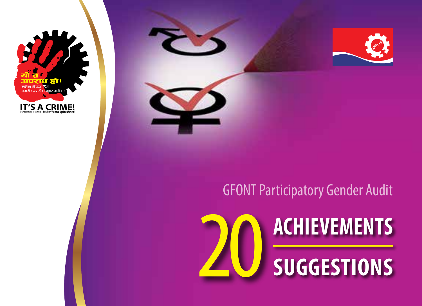



### GFONT Participatory Gender Audit

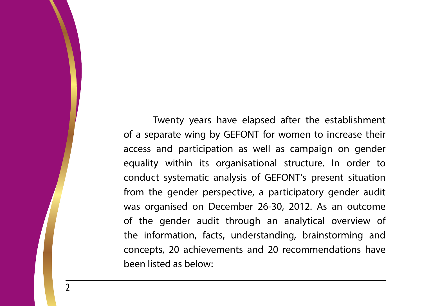Twenty years have elapsed after the establishment of a separate wing by GEFONT for women to increase their access and participation as well as campaign on gender equality within its organisational structure. In order to conduct systematic analysis of GEFONT's present situation from the gender perspective, a participatory gender audit was organised on December 26-30, 2012. As an outcome of the gender audit through an analytical overview of the information, facts, understanding, brainstorming and concepts, 20 achievements and 20 recommendations have been listed as below: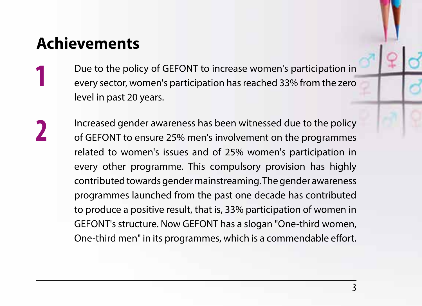### **Achievements**

**1** Due to the policy of GEFONT to increase women's participation in<br>every sector, women's participation has reached 33% from the zero level in past 20 years.

**2** Increased gender awareness has been witnessed due to the policy of GEFONT to ensure 25% men's involvement on the programmes related to women's issues and of 25% women's participation in every other programme. This compulsory provision has highly contributed towards gender mainstreaming. The gender awareness programmes launched from the past one decade has contributed to produce a positive result, that is, 33% participation of women in GEFONT's structure. Now GEFONT has a slogan "One-third women, One-third men" in its programmes, which is a commendable effort.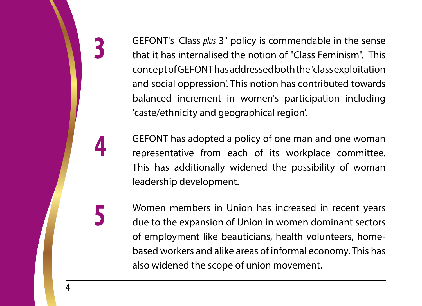**3** GEFONT's 'Class *plus* 3" policy is commendable in the sense that it has internalised the notion of "Class Feminism". This concept of GEFONT has addressed both the 'class exploitation and social oppression'. This notion has contributed towards balanced increment in women's participation including 'caste/ethnicity and geographical region'.

**4** GEFONT has adopted a policy of one man and one woman representative from each of its workplace committee. This has additionally widened the possibility of woman leadership development.

**5** Women members in Union has increased in recent years due to the expansion of Union in women dominant sectors of employment like beauticians, health volunteers, homebased workers and alike areas of informal economy. This has also widened the scope of union movement.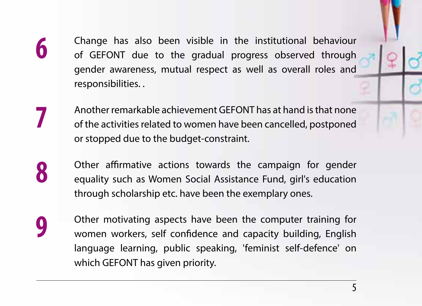**6** Change has also been visible in the institutional behaviour of GEFONT due to the gradual progress observed through gender awareness, mutual respect as well as overall roles and responsibilities. .

**7** Another remarkable achievement GEFONT has at hand is that none of the activities related to women have been cancelled, postponed or stopped due to the budget-constraint.

**8** Other affirmative actions towards the campaign for gender equality such as Women Social Assistance Fund, girl's education through scholarship etc. have been the exemplary ones.

**9** Other motivating aspects have been the computer training for women workers, self confidence and capacity building, English language learning, public speaking, 'feminist self-defence' on which GEFONT has given priority.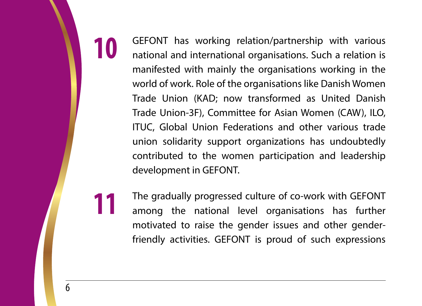**10** GEFONT has working relation/partnership with various national and international organisations. Such a relation is manifested with mainly the organisations working in the world of work. Role of the organisations like Danish Women Trade Union (KAD; now transformed as United Danish Trade Union-3F), Committee for Asian Women (CAW), ILO, ITUC, Global Union Federations and other various trade union solidarity support organizations has undoubtedly contributed to the women participation and leadership development in GEFONT.

**11** The gradually progressed culture of co-work with GEFONT among the national level organisations has further motivated to raise the gender issues and other genderfriendly activities. GEFONT is proud of such expressions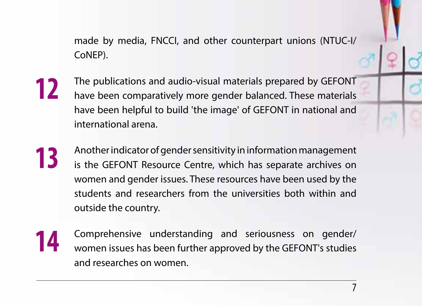made by media, FNCCI, and other counterpart unions (NTUC-I/ CoNEP).

- **12** The publications and audio-visual materials prepared by GEFONT have been comparatively more gender balanced. These materials have been helpful to build 'the image' of GEFONT in national and international arena.
- **13** Another indicator of gender sensitivity in information management is the GEFONT Resource Centre, which has separate archives on women and gender issues. These resources have been used by the students and researchers from the universities both within and outside the country.
- **14** Comprehensive understanding and seriousness on gender/ women issues has been further approved by the GEFONT's studies and researches on women.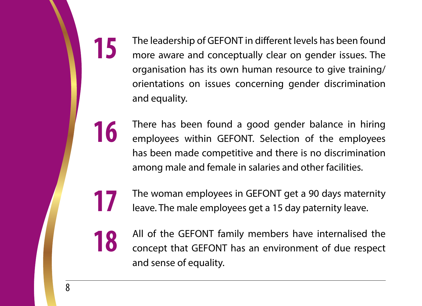**15** The leadership of GEFONT in different levels has been found more aware and conceptually clear on gender issues. The organisation has its own human resource to give training/ orientations on issues concerning gender discrimination and equality.

**16** There has been found a good gender balance in hiring employees within GEFONT. Selection of the employees has been made competitive and there is no discrimination among male and female in salaries and other facilities.

**17** The woman employees in GEFONT get a 90 days maternity<br>above The male employees get a 15 day paternity leave leave. The male employees get a 15 day paternity leave.

**18** All of the GEFONT family members have internalised the concept that GEFONT has an environment of due respect and sense of equality.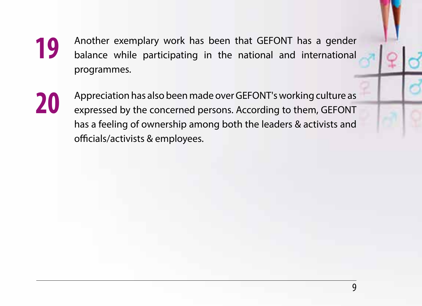- **19** Another exemplary work has been that GEFONT has a gender balance while participating in the national and international programmes.
- 

**20** Appreciation has also been made over GEFONT's working culture as expressed by the concerned persons. According to them, GEFONT has a feeling of ownership among both the leaders & activists and officials/activists & employees.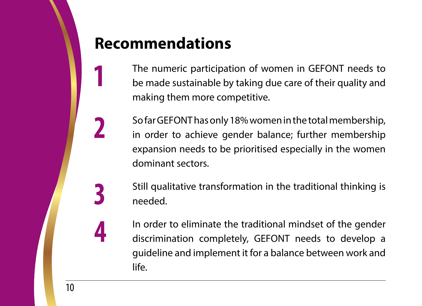## **Recommendations**

**1** The numeric participation of women in GEFONT needs to be made sustainable by taking due care of their quality and making them more competitive.

**2** So far GEFONT has only 18% women in the total membership,<br>in order to achieve gender balance; further membership expansion needs to be prioritised especially in the women dominant sectors.

> **3** Still qualitative transformation in the traditional thinking is needed.

**4** In order to eliminate the traditional mindset of the gender discrimination completely, GEFONT needs to develop a guideline and implement it for a balance between work and life.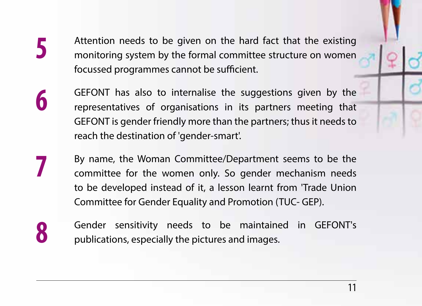**5** Attention needs to be given on the hard fact that the existing monitoring system by the formal committee structure on women focussed programmes cannot be sufficient.

- **6** GEFONT has also to internalise the suggestions given by the representatives of organisations in its partners meeting that GEFONT is gender friendly more than the partners; thus it needs to reach the destination of 'gender-smart'.
- **7** By name, the Woman Committee/Department seems to be the committee for the women only. So gender mechanism needs to be developed instead of it, a lesson learnt from 'Trade Union Committee for Gender Equality and Promotion (TUC- GEP).
- 

**8** Gender sensitivity needs to be maintained in GEFONT's publications, especially the pictures and images.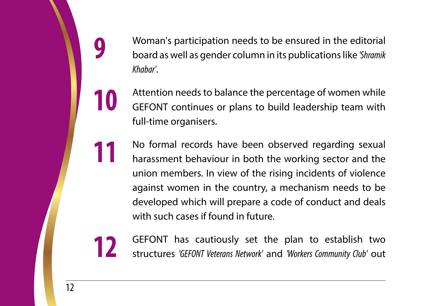**9** Woman's participation needs to be ensured in the editorial board as well as gender column in its publications like *'Shramik Khabar'*.

**10** Attention needs to balance the percentage of women while<br>GEFONT continues or plans to build leadership team with full-time organisers.

**11** No formal records have been observed regarding sexual harassment behaviour in both the working sector and the union members. In view of the rising incidents of violence against women in the country, a mechanism needs to be developed which will prepare a code of conduct and deals with such cases if found in future.

**12** GEFONT has cautiously set the plan to establish two structures *'GEFONT Veterans Network'* and *'Workers Community Club'* out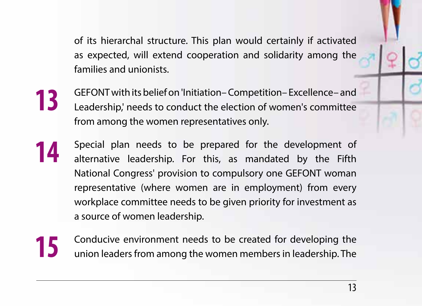of its hierarchal structure. This plan would certainly if activated as expected, will extend cooperation and solidarity among the families and unionists.

- **13** GEFONT with its belief on 'Initiation– Competition– Excellence– and Leadership,' needs to conduct the election of women's committee from among the women representatives only.
- **14** Special plan needs to be prepared for the development of alternative leadership. For this, as mandated by the Fifth National Congress' provision to compulsory one GEFONT woman representative (where women are in employment) from every workplace committee needs to be given priority for investment as a source of women leadership.
- **15** Conducive environment needs to be created for developing the<br>
union loaders from among the wamps mambers in loadership. The union leaders from among the women members in leadership. The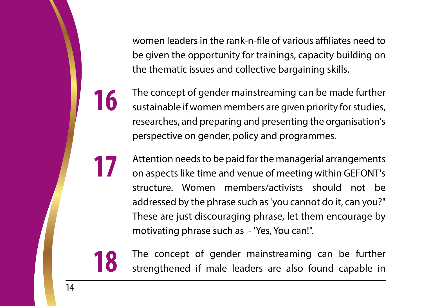women leaders in the rank-n-file of various affiliates need to be given the opportunity for trainings, capacity building on the thematic issues and collective bargaining skills.

**16** The concept of gender mainstreaming can be made further sustainable if women members are given priority for studies, researches, and preparing and presenting the organisation's perspective on gender, policy and programmes.

**17** Attention needs to be paid for the managerial arrangements<br>an arranget like time and venue of meeting within GEFONT's on aspects like time and venue of meeting within GEFONT's structure. Women members/activists should not be addressed by the phrase such as 'you cannot do it, can you?" These are just discouraging phrase, let them encourage by motivating phrase such as - 'Yes, You can!".

**18** The concept of gender mainstreaming can be further strengthened if male leaders are also found capable in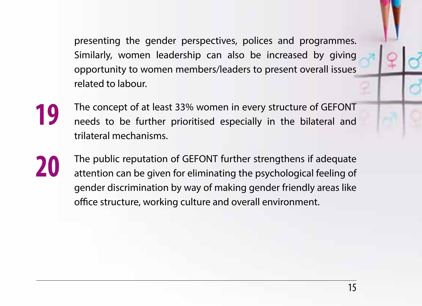presenting the gender perspectives, polices and programmes. Similarly, women leadership can also be increased by giving opportunity to women members/leaders to present overall issues related to labour.

- **19** The concept of at least 33% women in every structure of GEFONT needs to be further prioritised especially in the bilateral and trilateral mechanisms.
- **20** The public reputation of GEFONT further strengthens if adequate attention can be given for eliminating the psychological feeling of gender discrimination by way of making gender friendly areas like office structure, working culture and overall environment.